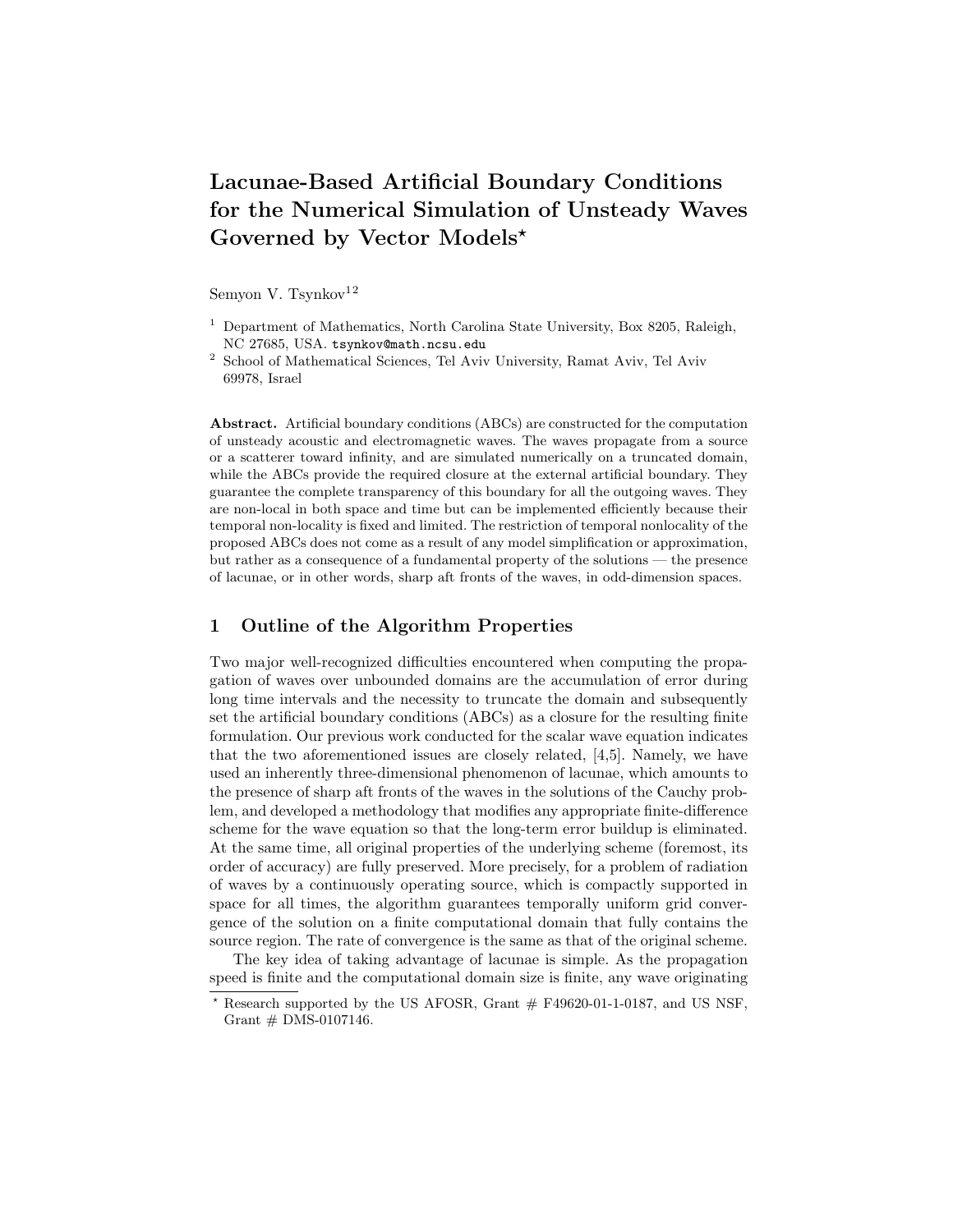# Lacunae-Based Artificial Boundary Conditions for the Numerical Simulation of Unsteady Waves Governed by Vector Models?

Semyon V. Tsynkov $12$ 

- <sup>1</sup> Department of Mathematics, North Carolina State University, Box 8205, Raleigh, NC 27685, USA. tsynkov@math.ncsu.edu
- <sup>2</sup> School of Mathematical Sciences, Tel Aviv University, Ramat Aviv, Tel Aviv 69978, Israel

Abstract. Artificial boundary conditions (ABCs) are constructed for the computation of unsteady acoustic and electromagnetic waves. The waves propagate from a source or a scatterer toward infinity, and are simulated numerically on a truncated domain, while the ABCs provide the required closure at the external artificial boundary. They guarantee the complete transparency of this boundary for all the outgoing waves. They are non-local in both space and time but can be implemented efficiently because their temporal non-locality is fixed and limited. The restriction of temporal nonlocality of the proposed ABCs does not come as a result of any model simplification or approximation, but rather as a consequence of a fundamental property of the solutions — the presence of lacunae, or in other words, sharp aft fronts of the waves, in odd-dimension spaces.

## 1 Outline of the Algorithm Properties

Two major well-recognized difficulties encountered when computing the propagation of waves over unbounded domains are the accumulation of error during long time intervals and the necessity to truncate the domain and subsequently set the artificial boundary conditions (ABCs) as a closure for the resulting finite formulation. Our previous work conducted for the scalar wave equation indicates that the two aforementioned issues are closely related, [4,5]. Namely, we have used an inherently three-dimensional phenomenon of lacunae, which amounts to the presence of sharp aft fronts of the waves in the solutions of the Cauchy problem, and developed a methodology that modifies any appropriate finite-difference scheme for the wave equation so that the long-term error buildup is eliminated. At the same time, all original properties of the underlying scheme (foremost, its order of accuracy) are fully preserved. More precisely, for a problem of radiation of waves by a continuously operating source, which is compactly supported in space for all times, the algorithm guarantees temporally uniform grid convergence of the solution on a finite computational domain that fully contains the source region. The rate of convergence is the same as that of the original scheme.

The key idea of taking advantage of lacunae is simple. As the propagation speed is finite and the computational domain size is finite, any wave originating

Research supported by the US AFOSR, Grant  $#$  F49620-01-1-0187, and US NSF, Grant  $#$  DMS-0107146.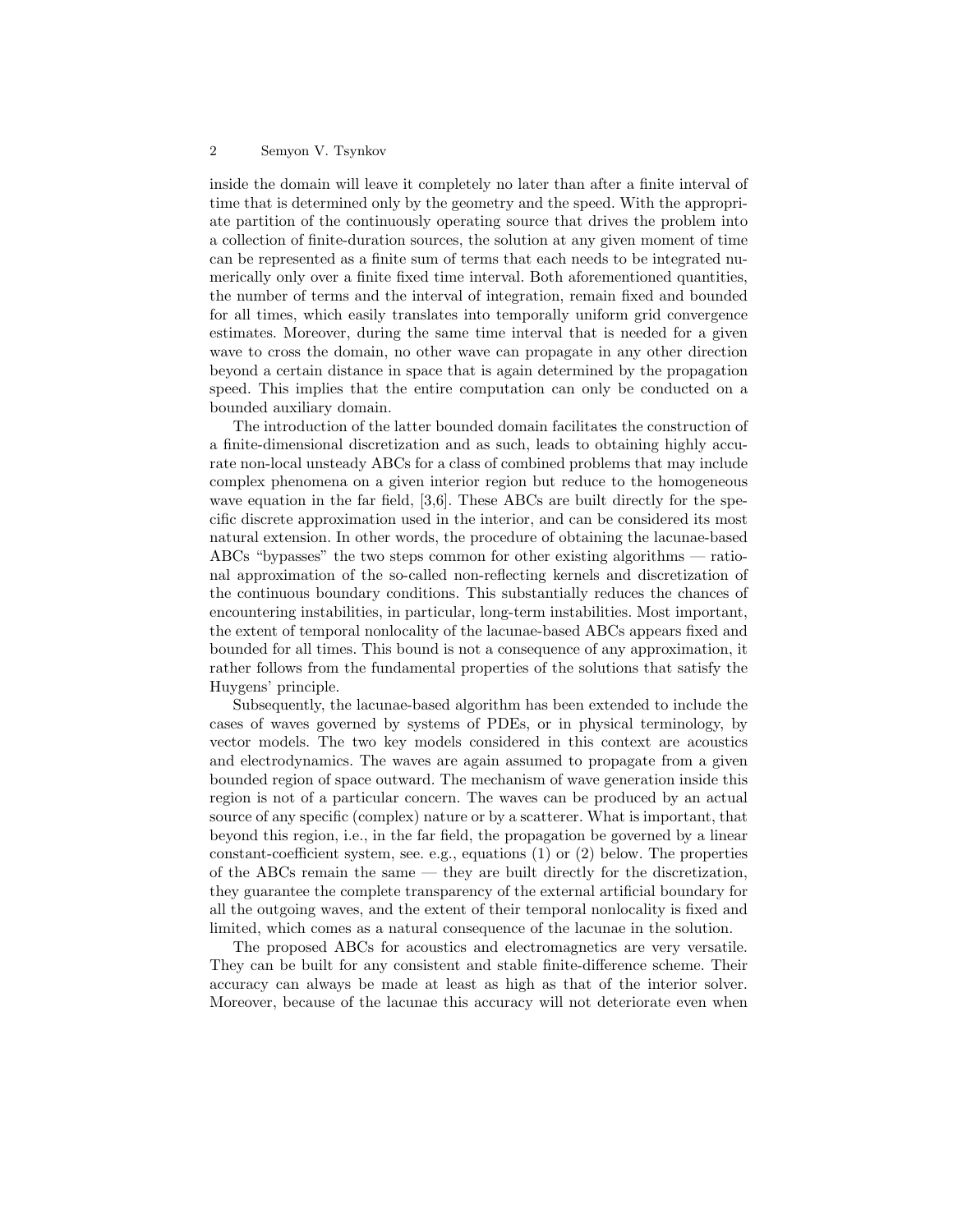#### 2 Semyon V. Tsynkov

inside the domain will leave it completely no later than after a finite interval of time that is determined only by the geometry and the speed. With the appropriate partition of the continuously operating source that drives the problem into a collection of finite-duration sources, the solution at any given moment of time can be represented as a finite sum of terms that each needs to be integrated numerically only over a finite fixed time interval. Both aforementioned quantities, the number of terms and the interval of integration, remain fixed and bounded for all times, which easily translates into temporally uniform grid convergence estimates. Moreover, during the same time interval that is needed for a given wave to cross the domain, no other wave can propagate in any other direction beyond a certain distance in space that is again determined by the propagation speed. This implies that the entire computation can only be conducted on a bounded auxiliary domain.

The introduction of the latter bounded domain facilitates the construction of a finite-dimensional discretization and as such, leads to obtaining highly accurate non-local unsteady ABCs for a class of combined problems that may include complex phenomena on a given interior region but reduce to the homogeneous wave equation in the far field, [3,6]. These ABCs are built directly for the specific discrete approximation used in the interior, and can be considered its most natural extension. In other words, the procedure of obtaining the lacunae-based ABCs "bypasses" the two steps common for other existing algorithms — rational approximation of the so-called non-reflecting kernels and discretization of the continuous boundary conditions. This substantially reduces the chances of encountering instabilities, in particular, long-term instabilities. Most important, the extent of temporal nonlocality of the lacunae-based ABCs appears fixed and bounded for all times. This bound is not a consequence of any approximation, it rather follows from the fundamental properties of the solutions that satisfy the Huygens' principle.

Subsequently, the lacunae-based algorithm has been extended to include the cases of waves governed by systems of PDEs, or in physical terminology, by vector models. The two key models considered in this context are acoustics and electrodynamics. The waves are again assumed to propagate from a given bounded region of space outward. The mechanism of wave generation inside this region is not of a particular concern. The waves can be produced by an actual source of any specific (complex) nature or by a scatterer. What is important, that beyond this region, i.e., in the far field, the propagation be governed by a linear constant-coefficient system, see. e.g., equations (1) or (2) below. The properties of the ABCs remain the same — they are built directly for the discretization, they guarantee the complete transparency of the external artificial boundary for all the outgoing waves, and the extent of their temporal nonlocality is fixed and limited, which comes as a natural consequence of the lacunae in the solution.

The proposed ABCs for acoustics and electromagnetics are very versatile. They can be built for any consistent and stable finite-difference scheme. Their accuracy can always be made at least as high as that of the interior solver. Moreover, because of the lacunae this accuracy will not deteriorate even when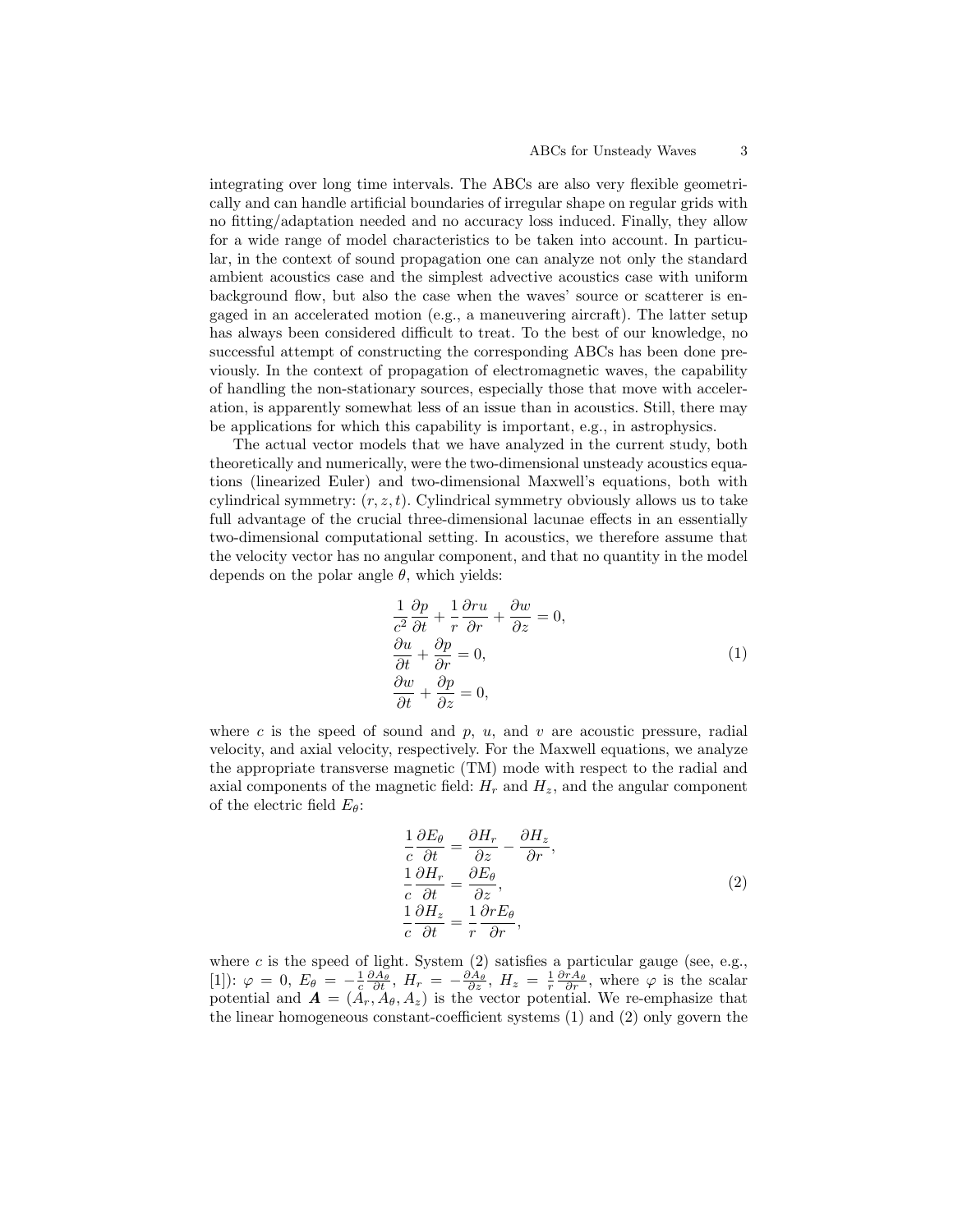integrating over long time intervals. The ABCs are also very flexible geometrically and can handle artificial boundaries of irregular shape on regular grids with no fitting/adaptation needed and no accuracy loss induced. Finally, they allow for a wide range of model characteristics to be taken into account. In particular, in the context of sound propagation one can analyze not only the standard ambient acoustics case and the simplest advective acoustics case with uniform background flow, but also the case when the waves' source or scatterer is engaged in an accelerated motion (e.g., a maneuvering aircraft). The latter setup has always been considered difficult to treat. To the best of our knowledge, no successful attempt of constructing the corresponding ABCs has been done previously. In the context of propagation of electromagnetic waves, the capability of handling the non-stationary sources, especially those that move with acceleration, is apparently somewhat less of an issue than in acoustics. Still, there may be applications for which this capability is important, e.g., in astrophysics.

The actual vector models that we have analyzed in the current study, both theoretically and numerically, were the two-dimensional unsteady acoustics equations (linearized Euler) and two-dimensional Maxwell's equations, both with cylindrical symmetry:  $(r, z, t)$ . Cylindrical symmetry obviously allows us to take full advantage of the crucial three-dimensional lacunae effects in an essentially two-dimensional computational setting. In acoustics, we therefore assume that the velocity vector has no angular component, and that no quantity in the model depends on the polar angle  $\theta$ , which yields:

$$
\frac{1}{c^2} \frac{\partial p}{\partial t} + \frac{1}{r} \frac{\partial ru}{\partial r} + \frac{\partial w}{\partial z} = 0,
$$
  
\n
$$
\frac{\partial u}{\partial t} + \frac{\partial p}{\partial r} = 0,
$$
  
\n
$$
\frac{\partial w}{\partial t} + \frac{\partial p}{\partial z} = 0,
$$
\n(1)

where c is the speed of sound and  $p$ ,  $u$ , and  $v$  are acoustic pressure, radial velocity, and axial velocity, respectively. For the Maxwell equations, we analyze the appropriate transverse magnetic (TM) mode with respect to the radial and axial components of the magnetic field:  $H_r$  and  $H_z$ , and the angular component of the electric field  $E_{\theta}$ :

$$
\frac{1}{c} \frac{\partial E_{\theta}}{\partial t} = \frac{\partial H_r}{\partial z} - \frac{\partial H_z}{\partial r}, \n\frac{1}{c} \frac{\partial H_r}{\partial t} = \frac{\partial E_{\theta}}{\partial z}, \n\frac{1}{c} \frac{\partial H_z}{\partial t} = \frac{1}{r} \frac{\partial r E_{\theta}}{\partial r},
$$
\n(2)

where  $c$  is the speed of light. System  $(2)$  satisfies a particular gauge (see, e.g., [1]):  $\varphi = 0$ ,  $E_{\theta} = -\frac{1}{c} \frac{\partial \widetilde{A}_{\theta}}{\partial t}$ ,  $H_{r} = -\frac{\partial \widetilde{A}_{\theta}}{\partial z}$ ,  $H_{z} = \frac{1}{r} \frac{\partial \tau A_{\theta}}{\partial r}$ , where  $\varphi$  is the scalar potential and  $\mathbf{A} = (A_r, A_\theta, A_z)$  is the vector potential. We re-emphasize that the linear homogeneous constant-coefficient systems (1) and (2) only govern the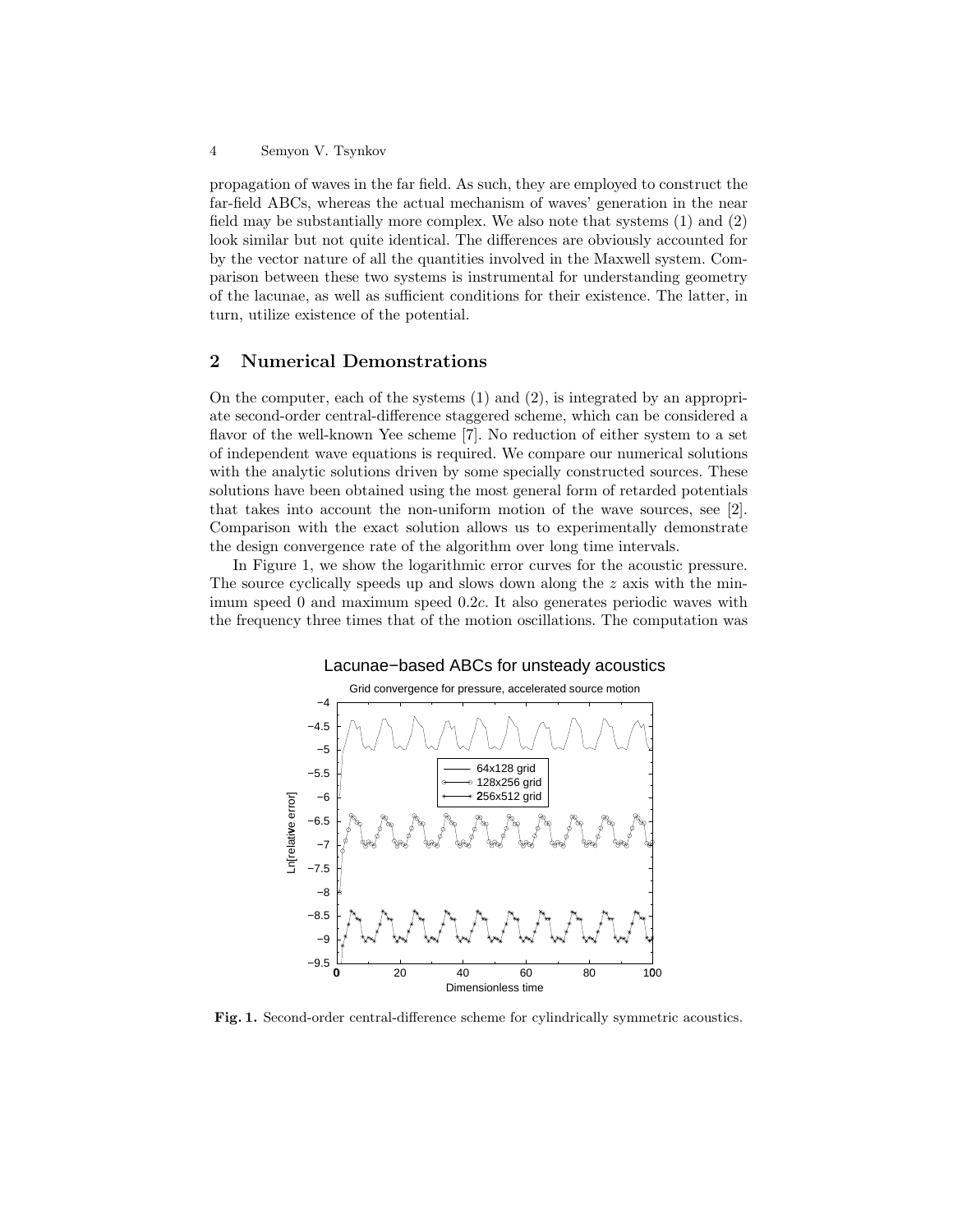#### 4 Semyon V. Tsynkov

propagation of waves in the far field. As such, they are employed to construct the far-field ABCs, whereas the actual mechanism of waves' generation in the near field may be substantially more complex. We also note that systems (1) and (2) look similar but not quite identical. The differences are obviously accounted for by the vector nature of all the quantities involved in the Maxwell system. Comparison between these two systems is instrumental for understanding geometry of the lacunae, as well as sufficient conditions for their existence. The latter, in turn, utilize existence of the potential.

## 2 Numerical Demonstrations

On the computer, each of the systems  $(1)$  and  $(2)$ , is integrated by an appropriate second-order central-difference staggered scheme, which can be considered a flavor of the well-known Yee scheme [7]. No reduction of either system to a set of independent wave equations is required. We compare our numerical solutions with the analytic solutions driven by some specially constructed sources. These solutions have been obtained using the most general form of retarded potentials that takes into account the non-uniform motion of the wave sources, see [2]. Comparison with the exact solution allows us to experimentally demonstrate the design convergence rate of the algorithm over long time intervals.

In Figure 1, we show the logarithmic error curves for the acoustic pressure. The source cyclically speeds up and slows down along the z axis with the minimum speed 0 and maximum speed 0.2c. It also generates periodic waves with the frequency three times that of the motion oscillations. The computation was



Fig. 1. Second-order central-difference scheme for cylindrically symmetric acoustics.